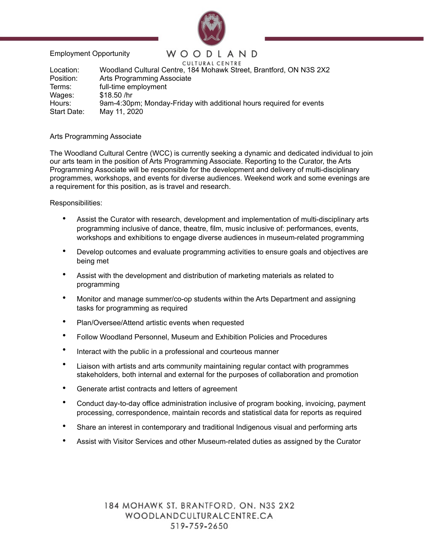

Employment Opportunity

## WOODLAND

CULTURAL CENTRE Location: Woodland Cultural Centre, 184 Mohawk Street, Brantford, ON N3S 2X2 Position: Arts Programming Associate Terms: full-time employment Wages: \$18.50 /hr Hours: 9am-4:30pm; Monday-Friday with additional hours required for events Start Date: May 11, 2020

## Arts Programming Associate

The Woodland Cultural Centre (WCC) is currently seeking a dynamic and dedicated individual to join our arts team in the position of Arts Programming Associate. Reporting to the Curator, the Arts Programming Associate will be responsible for the development and delivery of multi-disciplinary programmes, workshops, and events for diverse audiences. Weekend work and some evenings are a requirement for this position, as is travel and research.

## Responsibilities:

- Assist the Curator with research, development and implementation of multi-disciplinary arts programming inclusive of dance, theatre, film, music inclusive of: performances, events, workshops and exhibitions to engage diverse audiences in museum-related programming
- Develop outcomes and evaluate programming activities to ensure goals and objectives are being met
- Assist with the development and distribution of marketing materials as related to programming
- Monitor and manage summer/co-op students within the Arts Department and assigning tasks for programming as required
- Plan/Oversee/Attend artistic events when requested
- Follow Woodland Personnel, Museum and Exhibition Policies and Procedures
- Interact with the public in a professional and courteous manner
- Liaison with artists and arts community maintaining regular contact with programmes stakeholders, both internal and external for the purposes of collaboration and promotion
- Generate artist contracts and letters of agreement
- Conduct day-to-day office administration inclusive of program booking, invoicing, payment processing, correspondence, maintain records and statistical data for reports as required
- Share an interest in contemporary and traditional Indigenous visual and performing arts
- Assist with Visitor Services and other Museum-related duties as assigned by the Curator

184 MOHAWK ST. BRANTFORD, ON. N3S 2X2 WOODLANDCULTURALCENTRE.CA 519-759-2650